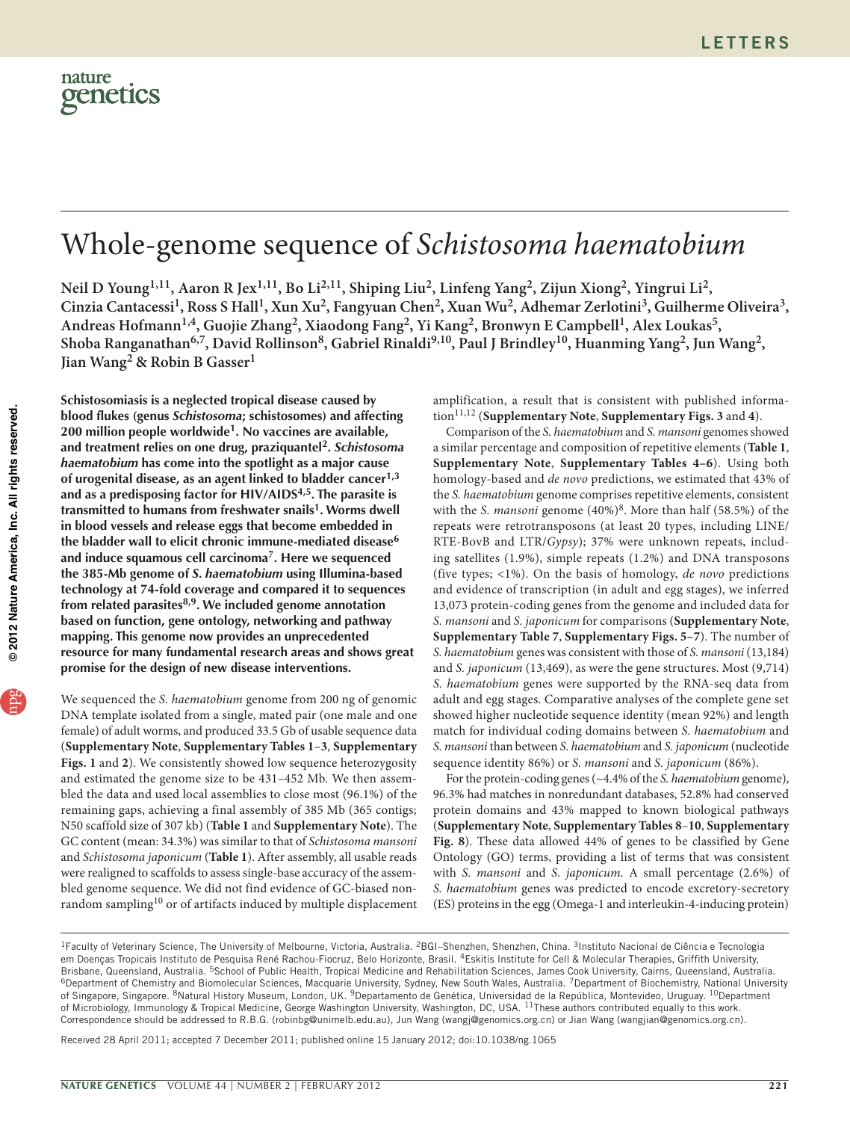# Whole-genome sequence of *Schistosoma haematobium*

Neil D Young<sup>1,11</sup>, Aaron R Jex<sup>1,11</sup>, Bo Li<sup>2,11</sup>, Shiping Liu<sup>2</sup>, Linfeng Yang<sup>2</sup>, Zijun Xiong<sup>2</sup>, Yingrui Li<sup>2</sup>, Cinzia Cantacessi<sup>1</sup>, Ross S Hall<sup>1</sup>, Xun Xu<sup>2</sup>, Fangyuan Chen<sup>2</sup>, Xuan Wu<sup>2</sup>, Adhemar Zerlotini<sup>3</sup>, Guilherme Oliveira<sup>3</sup>, Andreas Hofmann<sup>1,4</sup>, Guojie Zhang<sup>2</sup>, Xiaodong Fang<sup>2</sup>, Yi Kang<sup>2</sup>, Bronwyn E Campbell<sup>1</sup>, Alex Loukas<sup>5</sup>, Shoba Ranganathan<sup>6,7</sup>, David Rollinson<sup>8</sup>, Gabriel Rinaldi<sup>9,10</sup>, Paul J Brindley<sup>10</sup>, Huanming Yang<sup>2</sup>, Jun Wang<sup>2</sup>, **Jian Wang2 & Robin B Gasser1**

**Schistosomiasis is a neglected tropical disease caused by blood flukes (genus** *Schistosoma***; schistosomes) and affecting 200 million people worldwide[1.](#page-4-0) No vaccines are available, and treatment relies on one drug, praziquantel[2.](#page-4-1)** *Schistosoma haematobium* **has come into the spotlight as a major cause of urogenital disease, as an agent linked to bladder cancer[1,](#page-4-0)[3](#page-4-2) and as a predisposing factor for HIV/AIDS[4,](#page-4-3)[5.](#page-4-4) The parasite is transmitted to humans from freshwater snails[1](#page-4-0). Worms dwell in blood vessels and release eggs that become embedded in the bladder wall to elicit chronic immune-mediated disease[6](#page-4-5) and induce squamous cell carcinoma[7](#page-4-6). Here we sequenced the 385-Mb genome of** *S. haematobium* **using Illumina-based technology at 74-fold coverage and compared it to sequences from related parasites[8,](#page-4-7)[9](#page-4-8). We included genome annotation based on function, gene ontology, networking and pathway mapping. This genome now provides an unprecedented resource for many fundamental research areas and shows great promise for the design of new disease interventions.**

We sequenced the *S. haematobium* genome from 200 ng of genomic DNA template isolated from a single, mated pair (one male and one female) of adult worms, and produced 33.5 Gb of usable sequence data (**Supplementary Note**, **Supplementary Tables 1**–**3**, **Supplementary Figs. 1** and **2**). We consistently showed low sequence heterozygosity and estimated the genome size to be 431–452 Mb. We then assembled the data and used local assemblies to close most (96.1%) of the remaining gaps, achieving a final assembly of 385 Mb (365 contigs; N50 scaffold size of 307 kb) (**[Table 1](#page-1-0)** and **Supplementary Note**). The GC content (mean: 34.3%) was similar to that of *Schistosoma mansoni* and *Schistosoma japonicum* (**[Table 1](#page-1-0)**). After assembly, all usable reads were realigned to scaffolds to assess single-base accuracy of the assembled genome sequence. We did not find evidence of GC-biased nonrandom sampling<sup>10</sup> or of artifacts induced by multiple displacement amplification, a result that is consistent with published information[11,](#page-4-10)[12](#page-4-11) (**Supplementary Note**, **Supplementary Figs. 3** and **4**).

Comparison of the *S. haematobium* and *S. mansoni* genomes showed a similar percentage and composition of repetitive elements (**[Table 1](#page-1-0)**, **Supplementary Note**, **Supplementary Tables 4–6**). Using both homology-based and *de novo* predictions, we estimated that 43% of the *S. haematobium* genome comprises repetitive elements, consistent with the *S. mansoni* genome (40%)[8.](#page-4-7) More than half (58.5%) of the repeats were retrotransposons (at least 20 types, including LINE/ RTE-BovB and LTR/*Gypsy*); 37% were unknown repeats, including satellites (1.9%), simple repeats (1.2%) and DNA transposons (five types; <1%). On the basis of homology, *de novo* predictions and evidence of transcription (in adult and egg stages), we inferred 13,073 protein-coding genes from the genome and included data for *S. mansoni* and *S. japonicum* for comparisons (**Supplementary Note**, **Supplementary Table 7**, **Supplementary Figs. 5–7**). The number of *S. haematobium* genes was consistent with those of *S. mansoni* (13,184) and *S. japonicum* (13,469), as were the gene structures. Most (9,714) *S. haematobium* genes were supported by the RNA-seq data from adult and egg stages. Comparative analyses of the complete gene set showed higher nucleotide sequence identity (mean 92%) and length match for individual coding domains between *S. haematobium* and *S. mansoni* than between *S. haematobium* and *S. japonicum* (nucleotide sequence identity 86%) or *S. mansoni* and *S. japonicum* (86%).

For the protein-coding genes (~4.4% of the *S. haematobium* genome), 96.3% had matches in nonredundant databases, 52.8% had conserved protein domains and 43% mapped to known biological pathways (**Supplementary Note**, **Supplementary Tables 8**–**10**, **Supplementary Fig. 8**). These data allowed 44% of genes to be classified by Gene Ontology (GO) terms, providing a list of terms that was consistent with *S. mansoni* and *S. japonicum*. A small percentage (2.6%) of *S. haematobium* genes was predicted to encode excretory-secretory (ES) proteins in the egg (Omega-1 and interleukin-4-inducing protein)

<sup>1</sup>Faculty of Veterinary Science, The University of Melbourne, Victoria, Australia. <sup>2</sup>BGI–Shenzhen, Shenzhen, China. <sup>3</sup>Instituto Nacional de Ciência e Tecnologia em Doenças Tropicais Instituto de Pesquisa René Rachou-Fiocruz, Belo Horizonte, Brasil. <sup>4</sup>Eskitis Institute for Cell & Molecular Therapies, Griffith University,<br>Brisbane, Queensland, Australia. <sup>5</sup>School of Public Health, <sup>6</sup>Department of Chemistry and Biomolecular Sciences, Macquarie University, Sydney, New South Wales, Australia. <sup>7</sup>Department of Biochemistry, National University of Singapore, Singapore. <sup>8</sup>Natural History Museum, London, UK. <sup>9</sup>Departamento de Genética, Universidad de la República, Montevideo, Uruguay. <sup>10</sup>Department of Microbiology, Immunology & Tropical Medicine, George Washington University, Washington, DC, USA. 11These authors contributed equally to this work. Correspondence should be addressed to R.B.G. (robinbg@unimelb.edu.au), Jun Wang (wangj@genomics.org.cn) or Jian Wang (wangjian@genomics.org.cn).

Received 28 April 2011; accepted 7 December 2011; published online 15 January 2012; [doi:10.1038/ng.1065](http://www.nature.com/doifinder/10.1038/ng.1065)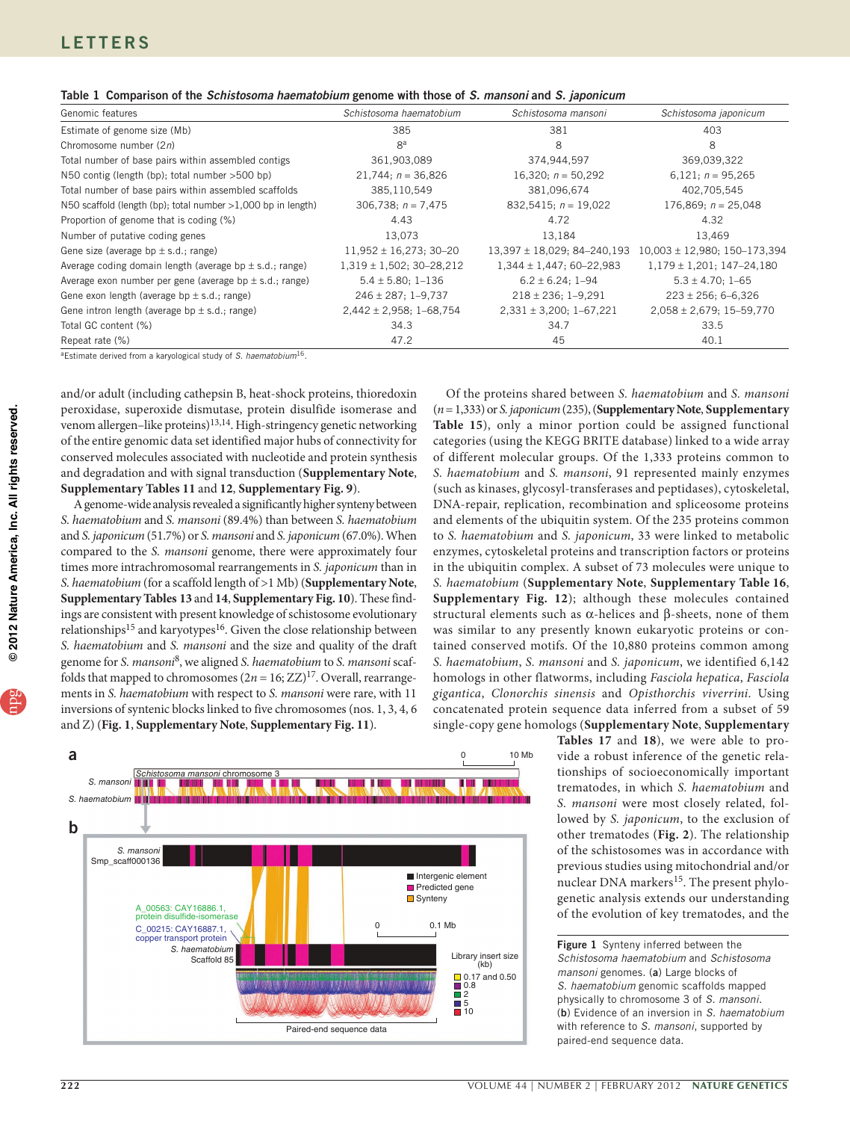# **LETTERS**

<span id="page-1-0"></span>

|  | Table 1 Comparison of the Schistosoma haematobium genome with those of S. mansoni and S. japonicum |  |  |  |  |  |  |  |
|--|----------------------------------------------------------------------------------------------------|--|--|--|--|--|--|--|
|--|----------------------------------------------------------------------------------------------------|--|--|--|--|--|--|--|

| Genomic features                                               | Schistosoma haematobium       | Schistosoma mansoni              | Schistosoma japonicum              |
|----------------------------------------------------------------|-------------------------------|----------------------------------|------------------------------------|
| Estimate of genome size (Mb)                                   | 385                           | 381                              | 403                                |
| Chromosome number (2n)                                         | 8 <sup>a</sup>                | 8                                | 8                                  |
| Total number of base pairs within assembled contigs            | 361,903,089                   | 374,944,597                      | 369,039,322                        |
| N50 contig (length (bp); total number >500 bp)                 | $21,744; n = 36,826$          | 16,320; $n = 50,292$             | 6,121; $n = 95,265$                |
| Total number of base pairs within assembled scaffolds          | 385,110,549                   | 381,096,674                      | 402,705,545                        |
| N50 scaffold (length (bp); total number $>1,000$ bp in length) | $306,738; n = 7,475$          | 832,5415; $n = 19,022$           | $176,869; n = 25,048$              |
| Proportion of genome that is coding (%)                        | 4.43                          | 4.72                             | 4.32                               |
| Number of putative coding genes                                | 13,073                        | 13,184                           | 13,469                             |
| Gene size (average bp $\pm$ s.d.; range)                       | $11,952 \pm 16,273$ ; 30-20   | $13,397 \pm 18,029$ ; 84-240,193 | $10,003 \pm 12,980; 150 - 173,394$ |
| Average coding domain length (average bp $\pm$ s.d.; range)    | $1,319 \pm 1,502$ ; 30-28,212 | $1,344 \pm 1,447; 60 - 22,983$   | $1,179 \pm 1,201$ ; 147-24,180     |
| Average exon number per gene (average bp $\pm$ s.d.; range)    | $5.4 \pm 5.80$ ; 1-136        | $6.2 \pm 6.24$ ; 1-94            | $5.3 \pm 4.70$ ; 1-65              |
| Gene exon length (average bp $\pm$ s.d.; range)                | $246 \pm 287$ ; 1-9,737       | $218 \pm 236$ ; 1-9,291          | $223 \pm 256$ ; 6-6,326            |
| Gene intron length (average bp $\pm$ s.d.; range)              | $2,442 \pm 2,958$ ; 1-68,754  | $2,331 \pm 3,200; 1-67,221$      | $2,058 \pm 2,679; 15-59,770$       |
| Total GC content (%)                                           | 34.3                          | 34.7                             | 33.5                               |
| Repeat rate (%)                                                | 47.2                          | 45                               | 40.1                               |

aEstimate derived from a karyological study of *S. haematobium*[16.](#page-4-15)

and/or adult (including cathepsin B, heat-shock proteins, thioredoxin peroxidase, superoxide dismutase, protein disulfide isomerase and venom allergen–like proteins)<sup>[13,](#page-4-12)[14](#page-4-13)</sup>. High-stringency genetic networking of the entire genomic data set identified major hubs of connectivity for conserved molecules associated with nucleotide and protein synthesis and degradation and with signal transduction (**Supplementary Note**, **Supplementary Tables 11** and **12**, **Supplementary Fig. 9**).

A genome-wide analysis revealed a significantly higher synteny between *S. haematobium* and *S. mansoni* (89.4%) than between *S. haematobium* and *S. japonicum* (51.7%) or *S. mansoni* and *S. japonicum* (67.0%). When compared to the *S. mansoni* genome, there were approximately four times more intrachromosomal rearrangements in *S. japonicum* than in *S. haematobium* (for a scaffold length of >1 Mb) (**Supplementary Note**, **Supplementary Tables 13** and **14**, **Supplementary Fig. 10**). These findings are consistent with present knowledge of schistosome evolutionary relationships<sup>15</sup> and karyotypes<sup>[16](#page-4-15)</sup>. Given the close relationship between *S. haematobium* and *S. mansoni* and the size and quality of the draft genome for *S. mansoni*[8](#page-4-7), we aligned *S. haematobium* to *S. mansoni* scaffolds that mapped to chromosomes  $(2n = 16; ZZ)^{17}$ . Overall, rearrangements in *S. haematobium* with respect to *S. mansoni* were rare, with 11 inversions of syntenic blocks linked to five chromosomes (nos. 1, 3, 4, 6 and Z) (**[Fig.](#page-1-1) 1**, **Supplementary Note**, **Supplementary Fig. 11**).



Of the proteins shared between *S. haematobium* and *S. mansoni* (*n* = 1,333) or *S. japonicum* (235), (**Supplementary Note**, **Supplementary Table 15**), only a minor portion could be assigned functional categories (using the KEGG BRITE database) linked to a wide array of different molecular groups. Of the 1,333 proteins common to *S. haematobium* and *S. mansoni*, 91 represented mainly enzymes (such as kinases, glycosyl-transferases and peptidases), cytoskeletal, DNA-repair, replication, recombination and spliceosome proteins and elements of the ubiquitin system. Of the 235 proteins common to *S. haematobium* and *S. japonicum*, 33 were linked to metabolic enzymes, cytoskeletal proteins and transcription factors or proteins in the ubiquitin complex. A subset of 73 molecules were unique to *S. haematobium* (**Supplementary Note**, **Supplementary Table 16**, **Supplementary Fig. 12**); although these molecules contained structural elements such as α-helices and β-sheets, none of them was similar to any presently known eukaryotic proteins or contained conserved motifs. Of the 10,880 proteins common among *S. haematobium*, *S. mansoni* and *S. japonicum*, we identified 6,142 homologs in other flatworms, including *Fasciola hepatica*, *Fasciola gigantica*, *Clonorchis sinensis* and *Opisthorchis viverrini*. Using concatenated protein sequence data inferred from a subset of 59 single-copy gene homologs (**Supplementary Note**, **Supplementary** 

> **Tables 17** and **18**), we were able to provide a robust inference of the genetic relationships of socioeconomically important trematodes, in which *S. haematobium* and *S. mansoni* were most closely related, followed by *S. japonicum*, to the exclusion of other trematodes (**[Fig. 2](#page-2-0)**). The relationship of the schistosomes was in accordance with previous studies using mitochondrial and/or nuclear DNA markers<sup>[15](#page-4-14)</sup>. The present phylogenetic analysis extends our understanding of the evolution of key trematodes, and the

<span id="page-1-1"></span>Figure 1 Synteny inferred between the *Schistosoma haematobium* and *Schistosoma mansoni* genomes. (a) Large blocks of *S. haematobium* genomic scaffolds mapped physically to chromosome 3 of *S. mansoni*. (b) Evidence of an inversion in *S. haematobium* with reference to *S. mansoni*, supported by paired-end sequence data.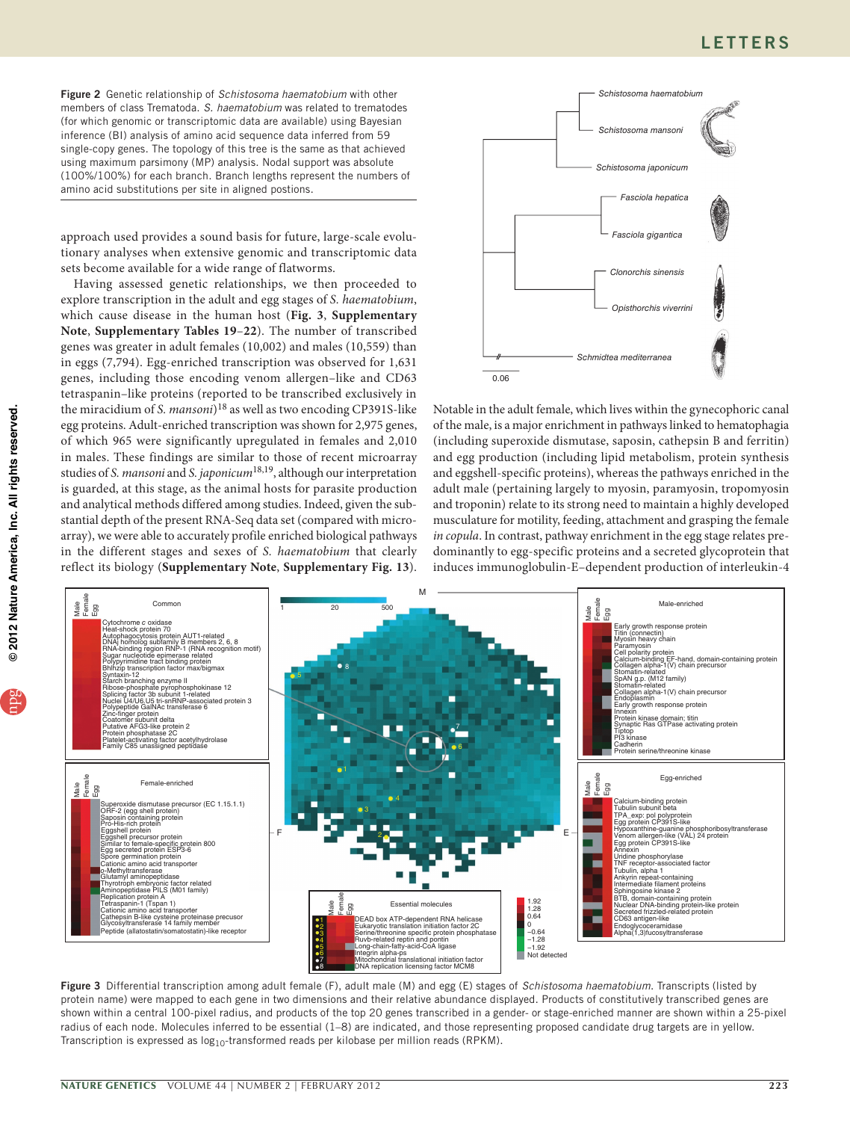## **LETTERS**

<span id="page-2-0"></span>Figure 2 Genetic relationship of *Schistosoma haematobium* with other members of class Trematoda. *S. haematobium* was related to trematodes (for which genomic or transcriptomic data are available) using Bayesian inference (BI) analysis of amino acid sequence data inferred from 59 single-copy genes. The topology of this tree is the same as that achieved using maximum parsimony (MP) analysis. Nodal support was absolute (100%/100%) for each branch. Branch lengths represent the numbers of amino acid substitutions per site in aligned postions.

approach used provides a sound basis for future, large-scale evolutionary analyses when extensive genomic and transcriptomic data sets become available for a wide range of flatworms.

Having assessed genetic relationships, we then proceeded to explore transcription in the adult and egg stages of *S. haematobium*, which cause disease in the human host (**[Fig. 3](#page-2-1)**, **Supplementary Note**, **Supplementary Tables 19**–**22**). The number of transcribed genes was greater in adult females (10,002) and males (10,559) than in eggs (7,794). Egg-enriched transcription was observed for 1,631 genes, including those encoding venom allergen–like and CD63 tetraspanin–like proteins (reported to be transcribed exclusively in the miracidium of *S. mansoni*)[18](#page-4-17) as well as two encoding CP391S-like egg proteins. Adult-enriched transcription was shown for 2,975 genes, of which 965 were significantly upregulated in females and 2,010 in males. These findings are similar to those of recent microarray studies of *S. mansoni* and *S. japonicum*[18,](#page-4-17)[19,](#page-4-18) although our interpretation is guarded, at this stage, as the animal hosts for parasite production and analytical methods differed among studies. Indeed, given the substantial depth of the present RNA-Seq data set (compared with microarray), we were able to accurately profile enriched biological pathways in the different stages and sexes of *S. haematobium* that clearly reflect its biology (**Supplementary Note**, **Supplementary Fig. 13**).



Notable in the adult female, which lives within the gynecophoric canal of the male, is a major enrichment in pathways linked to hematophagia (including superoxide dismutase, saposin, cathepsin B and ferritin) and egg production (including lipid metabolism, protein synthesis and eggshell-specific proteins), whereas the pathways enriched in the adult male (pertaining largely to myosin, paramyosin, tropomyosin and troponin) relate to its strong need to maintain a highly developed musculature for motility, feeding, attachment and grasping the female *in copula*. In contrast, pathway enrichment in the egg stage relates predominantly to egg-specific proteins and a secreted glycoprotein that induces immunoglobulin-E–dependent production of interleukin-4



<span id="page-2-1"></span>Figure 3 Differential transcription among adult female (F), adult male (M) and egg (E) stages of *Schistosoma haematobium*. Transcripts (listed by protein name) were mapped to each gene in two dimensions and their relative abundance displayed. Products of constitutively transcribed genes are shown within a central 100-pixel radius, and products of the top 20 genes transcribed in a gender- or stage-enriched manner are shown within a 25-pixel radius of each node. Molecules inferred to be essential (1–8) are indicated, and those representing proposed candidate drug targets are in yellow. Transcription is expressed as  $log_{10}$ -transformed reads per kilobase per million reads (RPKM).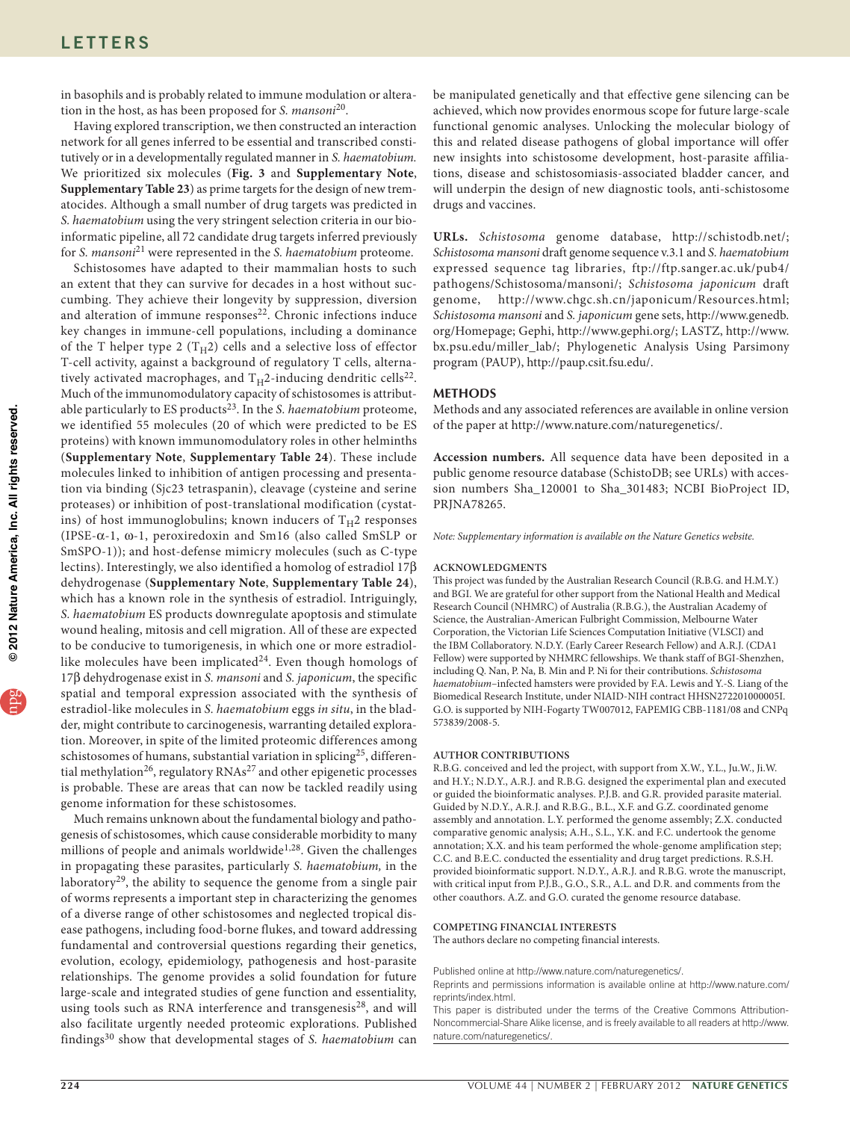in basophils and is probably related to immune modulation or alteration in the host, as has been proposed for *S. mansoni*[20](#page-4-19).

Having explored transcription, we then constructed an interaction network for all genes inferred to be essential and transcribed constitutively or in a developmentally regulated manner in *S. haematobium.* We prioritized six molecules (**[Fig. 3](#page-2-1)** and **Supplementary Note**, **Supplementary Table 23**) as prime targets for the design of new trematocides. Although a small number of drug targets was predicted in *S. haematobium* using the very stringent selection criteria in our bioinformatic pipeline, all 72 candidate drug targets inferred previously for *S. mansoni*[21](#page-4-20) were represented in the *S. haematobium* proteome.

Schistosomes have adapted to their mammalian hosts to such an extent that they can survive for decades in a host without succumbing. They achieve their longevity by suppression, diversion and alteration of immune responses<sup>22</sup>. Chronic infections induce key changes in immune-cell populations, including a dominance of the T helper type 2 ( $T_H2$ ) cells and a selective loss of effector T-cell activity, against a background of regulatory T cells, alternatively activated macrophages, and  $T_H2$ -inducing dendritic cells<sup>[22](#page-4-21)</sup>. Much of the immunomodulatory capacity of schistosomes is attribut-able particularly to ES products<sup>[23](#page-4-22)</sup>. In the *S. haematobium* proteome, we identified 55 molecules (20 of which were predicted to be ES proteins) with known immunomodulatory roles in other helminths (**Supplementary Note**, **Supplementary Table 24**). These include molecules linked to inhibition of antigen processing and presentation via binding (Sjc23 tetraspanin), cleavage (cysteine and serine proteases) or inhibition of post-translational modification (cystatins) of host immunoglobulins; known inducers of  $T_H2$  responses (IPSE-α-1, ω-1, peroxiredoxin and Sm16 (also called SmSLP or SmSPO-1)); and host-defense mimicry molecules (such as C-type lectins). Interestingly, we also identified a homolog of estradiol 17β dehydrogenase (**Supplementary Note**, **Supplementary Table 24**), which has a known role in the synthesis of estradiol. Intriguingly, *S. haematobium* ES products downregulate apoptosis and stimulate wound healing, mitosis and cell migration. All of these are expected to be conducive to tumorigenesis, in which one or more estradiollike molecules have been implicated $24$ . Even though homologs of 17β dehydrogenase exist in *S. mansoni* and *S. japonicum*, the specific spatial and temporal expression associated with the synthesis of estradiol-like molecules in *S. haematobium* eggs *in situ*, in the bladder, might contribute to carcinogenesis, warranting detailed exploration. Moreover, in spite of the limited proteomic differences among schistosomes of humans, substantial variation in splicing<sup>[25](#page-4-24)</sup>, differen-tial methylation<sup>[26](#page-4-25)</sup>, regulatory  $RNAs<sup>27</sup>$  and other epigenetic processes is probable. These are areas that can now be tackled readily using genome information for these schistosomes.

Much remains unknown about the fundamental biology and pathogenesis of schistosomes, which cause considerable morbidity to many millions of people and animals worldwide<sup>[1,](#page-4-0)[28](#page-4-27)</sup>. Given the challenges in propagating these parasites, particularly *S. haematobium,* in the laboratory[29,](#page-4-28) the ability to sequence the genome from a single pair of worms represents a important step in characterizing the genomes of a diverse range of other schistosomes and neglected tropical disease pathogens, including food-borne flukes, and toward addressing fundamental and controversial questions regarding their genetics, evolution, ecology, epidemiology, pathogenesis and host-parasite relationships. The genome provides a solid foundation for future large-scale and integrated studies of gene function and essentiality, using tools such as RNA interference and transgenesis<sup>28</sup>, and will also facilitate urgently needed proteomic explorations. Published findings[30](#page-4-29) show that developmental stages of *S. haematobium* can

be manipulated genetically and that effective gene silencing can be achieved, which now provides enormous scope for future large-scale functional genomic analyses. Unlocking the molecular biology of this and related disease pathogens of global importance will offer new insights into schistosome development, host-parasite affiliations, disease and schistosomiasis-associated bladder cancer, and will underpin the design of new diagnostic tools, anti-schistosome drugs and vaccines.

**URLs.** *Schistosoma* genome database, <http://schistodb.net/>; *Schistosoma mansoni* draft genome sequence v.3.1 and *S. haematobium* expressed sequence tag libraries, [ftp://ftp.sanger.ac.uk/pub4/](ftp://ftp.sanger.ac.uk/pub4/pathogens/Schistosoma/mansoni/) [pathogens/Schistosoma/mansoni/](ftp://ftp.sanger.ac.uk/pub4/pathogens/Schistosoma/mansoni/); *Schistosoma japonicum* draft genome, <http://www.chgc.sh.cn/japonicum/Resources.html>; *Schistosoma mansoni* and *S. japonicum* gene sets, [http://www.genedb.](http://www.genedb.org/Homepage) [org/Homepage](http://www.genedb.org/Homepage); Gephi, [http://www.gephi.org/;](http://www.gephi.org/) LASTZ, [http://www.](http://www.bx.psu.edu/miller_lab/) [bx.psu.edu/miller\\_lab/](http://www.bx.psu.edu/miller_lab/); Phylogenetic Analysis Using Parsimony program (PAUP), [http://paup.csit.fsu.edu/.](http://paup.csit.fsu.edu/)

#### **Methods**

Methods and any associated references are available in online version of the paper at http://www.nature.com/naturegenetics/.

**Accession numbers.** All sequence data have been deposited in a public genome resource database (SchistoDB; see URLs) with accession numbers Sha\_120001 to Sha\_301483; NCBI BioProject ID, PRJNA78265.

*Note: Supplementary information is available on the Nature [Genetics](http://www.nature.com/naturegenetics/) website.*

#### **Acknowledgments**

This project was funded by the Australian Research Council (R.B.G. and H.M.Y.) and BGI. We are grateful for other support from the National Health and Medical Research Council (NHMRC) of Australia (R.B.G.), the Australian Academy of Science, the Australian-American Fulbright Commission, Melbourne Water Corporation, the Victorian Life Sciences Computation Initiative (VLSCI) and the IBM Collaboratory. N.D.Y. (Early Career Research Fellow) and A.R.J. (CDA1 Fellow) were supported by NHMRC fellowships. We thank staff of BGI-Shenzhen, including Q. Nan, P. Na, B. Min and P. Ni for their contributions. *Schistosoma haematobium*–infected hamsters were provided by F.A. Lewis and Y.-S. Liang of the Biomedical Research Institute, under NIAID-NIH contract HHSN272201000005I. G.O. is supported by NIH-Fogarty TW007012, FAPEMIG CBB-1181/08 and CNPq 573839/2008-5.

#### **AUTHOR CONTRIBUTIONS**

R.B.G. conceived and led the project, with support from X.W., Y.L., Ju.W., Ji.W. and H.Y.; N.D.Y., A.R.J. and R.B.G. designed the experimental plan and executed or guided the bioinformatic analyses. P.J.B. and G.R. provided parasite material. Guided by N.D.Y., A.R.J. and R.B.G., B.L., X.F. and G.Z. coordinated genome assembly and annotation. L.Y. performed the genome assembly; Z.X. conducted comparative genomic analysis; A.H., S.L., Y.K. and F.C. undertook the genome annotation; X.X. and his team performed the whole-genome amplification step; C.C. and B.E.C. conducted the essentiality and drug target predictions. R.S.H. provided bioinformatic support. N.D.Y., A.R.J. and R.B.G. wrote the manuscript, with critical input from P.J.B., G.O., S.R., A.L. and D.R. and comments from the other coauthors. A.Z. and G.O. curated the genome resource database.

### **COMPETING FINANCIAL INTERESTS**

The authors declare no competing financial interests.

Published online at http://www.nature.com/naturegenetics/.

Reprints and permissions information is available online at http://www.nature.com/ reprints/index.html.

This paper is distributed under the terms of the Creative Commons Attribution-Noncommercial-Share Alike license, and is freely available to all readers at [http://www.](http://www.nature.com/naturegenetics/) [nature.com/naturegenetics/](http://www.nature.com/naturegenetics/).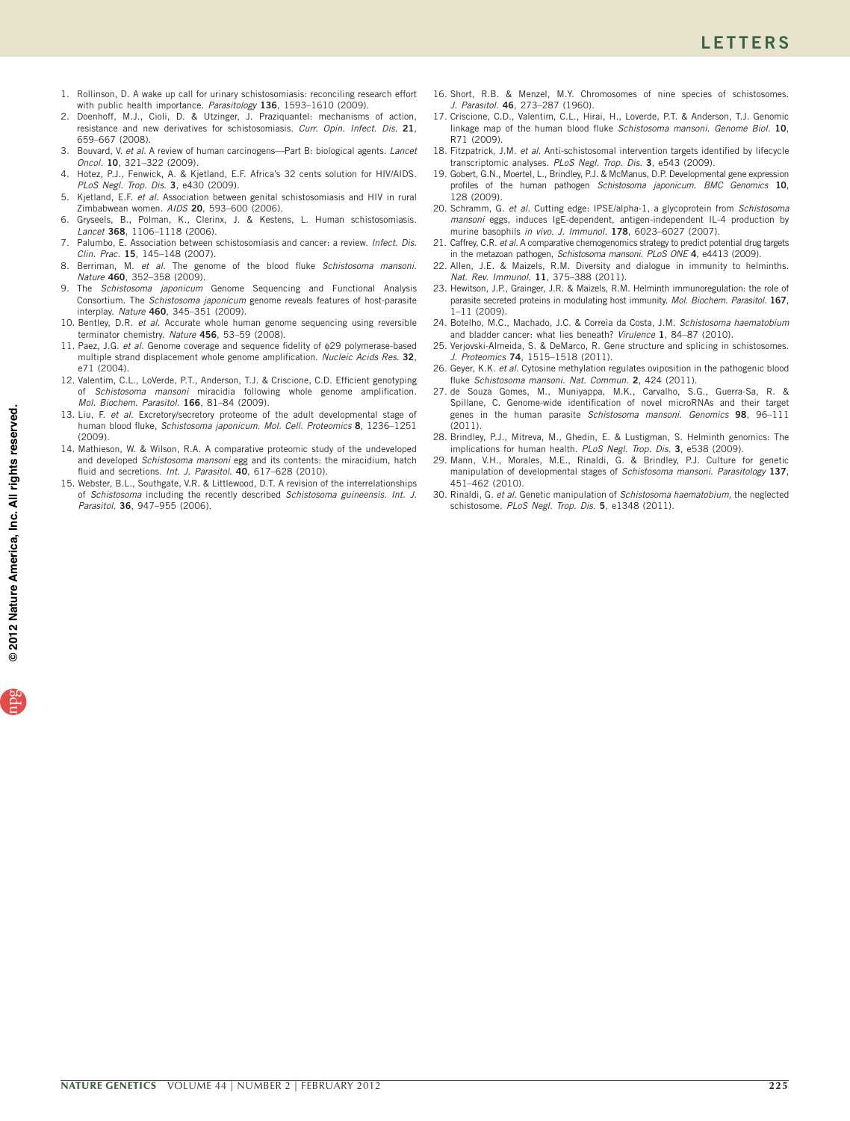- <span id="page-4-0"></span>1. Rollinson, D. A wake up call for urinary schistosomiasis: reconciling research effort with public health importance. *Parasitology* 136, 1593–1610 (2009).
- <span id="page-4-1"></span>2. Doenhoff, M.J., Cioli, D. & Utzinger, J. Praziquantel: mechanisms of action, resistance and new derivatives for schistosomiasis. *Curr. Opin. Infect. Dis.* 21, 659–667 (2008).
- <span id="page-4-2"></span>3. Bouvard, V. *et al.* A review of human carcinogens—Part B: biological agents. *Lancet Oncol.* 10, 321–322 (2009).
- <span id="page-4-3"></span>4. Hotez, P.J., Fenwick, A. & Kjetland, E.F. Africa's 32 cents solution for HIV/AIDS. *PLoS Negl. Trop. Dis.* 3, e430 (2009).
- <span id="page-4-4"></span>5. Kjetland, E.F. *et al.* Association between genital schistosomiasis and HIV in rural Zimbabwean women. *AIDS* 20, 593–600 (2006).
- <span id="page-4-5"></span>6. Gryseels, B., Polman, K., Clerinx, J. & Kestens, L. Human schistosomiasis. *Lancet* 368, 1106–1118 (2006).
- <span id="page-4-6"></span>7. Palumbo, E. Association between schistosomiasis and cancer: a review. *Infect. Dis. Clin. Prac.* 15, 145–148 (2007).
- <span id="page-4-7"></span>8. Berriman, M. *et al.* The genome of the blood fluke *Schistosoma mansoni*. *Nature* 460, 352–358 (2009).
- <span id="page-4-8"></span>9. The *Schistosoma japonicum* Genome Sequencing and Functional Analysis Consortium. The *Schistosoma japonicum* genome reveals features of host-parasite interplay. *Nature* 460, 345–351 (2009).
- <span id="page-4-9"></span>10. Bentley, D.R. *et al.* Accurate whole human genome sequencing using reversible terminator chemistry. *Nature* 456, 53–59 (2008).
- <span id="page-4-10"></span>11. Paez, J.G. *et al.* Genome coverage and sequence fidelity of φ29 polymerase-based multiple strand displacement whole genome amplification. *Nucleic Acids Res.* 32, e71 (2004).
- <span id="page-4-11"></span>12. Valentim, C.L., LoVerde, P.T., Anderson, T.J. & Criscione, C.D. Efficient genotyping of *Schistosoma mansoni* miracidia following whole genome amplification. *Mol. Biochem. Parasitol.* 166, 81–84 (2009).
- <span id="page-4-12"></span>13. Liu, F. *et al.* Excretory/secretory proteome of the adult developmental stage of human blood fluke, *Schistosoma japonicum*. *Mol. Cell. Proteomics* 8, 1236–1251 (2009).
- <span id="page-4-13"></span>14. Mathieson, W. & Wilson, R.A. A comparative proteomic study of the undeveloped and developed *Schistosoma mansoni* egg and its contents: the miracidium, hatch fluid and secretions. *Int. J. Parasitol.* 40, 617–628 (2010).
- <span id="page-4-14"></span>15. Webster, B.L., Southgate, V.R. & Littlewood, D.T. A revision of the interrelationships of *Schistosoma* including the recently described *Schistosoma guineensis*. *Int. J. Parasitol.* 36, 947–955 (2006).
- <span id="page-4-15"></span>16. Short, R.B. & Menzel, M.Y. Chromosomes of nine species of schistosomes. *J. Parasitol.* 46, 273–287 (1960).
- <span id="page-4-16"></span>17. Criscione, C.D., Valentim, C.L., Hirai, H., Loverde, P.T. & Anderson, T.J. Genomic linkage map of the human blood fluke *Schistosoma mansoni*. *Genome Biol.* 10, R71 (2009).
- <span id="page-4-17"></span>18. Fitzpatrick, J.M. *et al.* Anti-schistosomal intervention targets identified by lifecycle transcriptomic analyses. *PLoS Negl. Trop. Dis.* 3, e543 (2009). 19. Gobert, G.N., Moertel, L., Brindley, P.J. & McManus, D.P. Developmental gene expression
- <span id="page-4-18"></span>profiles of the human pathogen *Schistosoma japonicum*. *BMC Genomics* 10, 128 (2009).
- <span id="page-4-19"></span>20. Schramm, G. *et al.* Cutting edge: IPSE/alpha-1, a glycoprotein from *Schistosoma mansoni* eggs, induces IgE-dependent, antigen-independent IL-4 production by murine basophils *in vivo*. *J. Immunol.* 178, 6023–6027 (2007).
- <span id="page-4-20"></span>21. Caffrey, C.R. *et al.* A comparative chemogenomics strategy to predict potential drug targets in the metazoan pathogen, *Schistosoma mansoni*. *PLoS ONE* 4, e4413 (2009).
- <span id="page-4-21"></span>22. Allen, J.E. & Maizels, R.M. Diversity and dialogue in immunity to helminths. *Nat. Rev. Immunol.* 11, 375–388 (2011).
- <span id="page-4-22"></span>23. Hewitson, J.P., Grainger, J.R. & Maizels, R.M. Helminth immunoregulation: the role of parasite secreted proteins in modulating host immunity. *Mol. Biochem. Parasitol.* 167, 1–11 (2009).
- <span id="page-4-23"></span>24. Botelho, M.C., Machado, J.C. & Correia da Costa, J.M. *Schistosoma haematobium* and bladder cancer: what lies beneath? *Virulence* 1, 84–87 (2010).
- <span id="page-4-24"></span>25. Verjovski-Almeida, S. & DeMarco, R. Gene structure and splicing in schistosomes. *J. Proteomics* 74, 1515–1518 (2011).
- <span id="page-4-25"></span>26. Geyer, K.K. *et al.* Cytosine methylation regulates oviposition in the pathogenic blood fluke *Schistosoma mansoni*. *Nat. Commun.* 2, 424 (2011).
- <span id="page-4-26"></span>27. de Souza Gomes, M., Muniyappa, M.K., Carvalho, S.G., Guerra-Sa, R. & Spillane, C. Genome-wide identification of novel microRNAs and their target genes in the human parasite *Schistosoma mansoni*. *Genomics* 98, 96–111 (2011).
- <span id="page-4-27"></span>28. Brindley, P.J., Mitreva, M., Ghedin, E. & Lustigman, S. Helminth genomics: The implications for human health. *PLoS Negl. Trop. Dis.* 3, e538 (2009).
- <span id="page-4-28"></span>29. Mann, V.H., Morales, M.E., Rinaldi, G. & Brindley, P.J. Culture for genetic manipulation of developmental stages of *Schistosoma mansoni*. *Parasitology* 137, 451–462 (2010).
- <span id="page-4-29"></span>30. Rinaldi, G. *et al.* Genetic manipulation of *Schistosoma haematobium,* the neglected schistosome. *PLoS Negl. Trop. Dis.* 5, e1348 (2011).

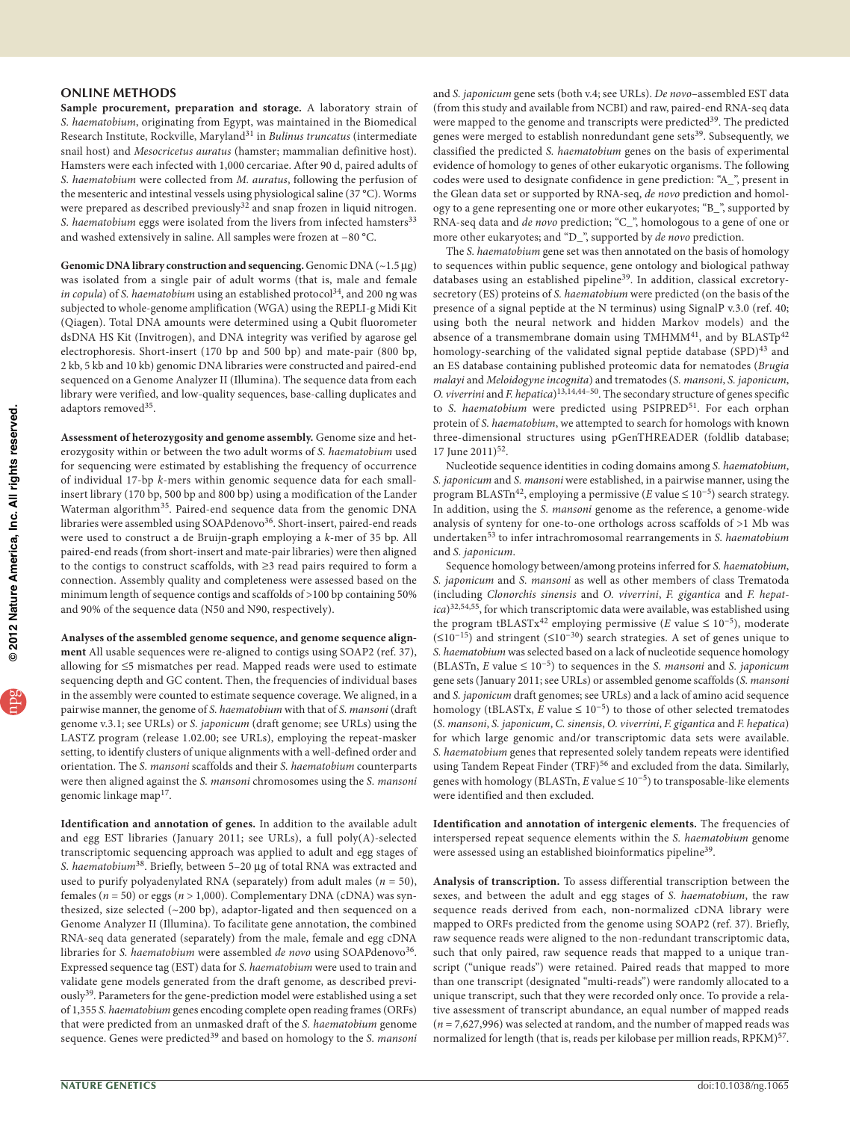## **ONLINE METHODS**

**Sample procurement, preparation and storage.** A laboratory strain of *S. haematobium*, originating from Egypt, was maintained in the Biomedical Research Institute, Rockville, Maryland[31](#page-6-0) in *Bulinus truncatus* (intermediate snail host) and *Mesocricetus auratus* (hamster; mammalian definitive host). Hamsters were each infected with 1,000 cercariae. After 90 d, paired adults of *S. haematobium* were collected from *M. auratus*, following the perfusion of the mesenteric and intestinal vessels using physiological saline (37 °C). Worms were prepared as described previously<sup>[32](#page-6-1)</sup> and snap frozen in liquid nitrogen. S. haematobium eggs were isolated from the livers from infected hamsters<sup>[33](#page-6-2)</sup> and washed extensively in saline. All samples were frozen at −80 °C.

**Genomic DNA library construction and sequencing.** Genomic DNA (~1.5 µg) was isolated from a single pair of adult worms (that is, male and female *in copula*) of *S. haematobium* using an established protocol<sup>34</sup>, and 200 ng was subjected to whole-genome amplification (WGA) using the REPLI-g Midi Kit (Qiagen). Total DNA amounts were determined using a Qubit fluorometer dsDNA HS Kit (Invitrogen), and DNA integrity was verified by agarose gel electrophoresis. Short-insert (170 bp and 500 bp) and mate-pair (800 bp, 2 kb, 5 kb and 10 kb) genomic DNA libraries were constructed and paired-end sequenced on a Genome Analyzer II (Illumina). The sequence data from each library were verified, and low-quality sequences, base-calling duplicates and adaptors removed<sup>[35](#page-6-4)</sup>.

**Assessment of heterozygosity and genome assembly.** Genome size and heterozygosity within or between the two adult worms of *S. haematobium* used for sequencing were estimated by establishing the frequency of occurrence of individual 17-bp *k*-mers within genomic sequence data for each smallinsert library (170 bp, 500 bp and 800 bp) using a modification of the Lander Waterman algorithm[35](#page-6-4). Paired-end sequence data from the genomic DNA libraries were assembled using SOAPdenovo<sup>36</sup>. Short-insert, paired-end reads were used to construct a de Bruijn*-*graph employing a *k*-mer of 35 bp. All paired-end reads (from short-insert and mate-pair libraries) were then aligned to the contigs to construct scaffolds, with ≥3 read pairs required to form a connection. Assembly quality and completeness were assessed based on the minimum length of sequence contigs and scaffolds of >100 bp containing 50% and 90% of the sequence data (N50 and N90, respectively).

**Analyses of the assembled genome sequence, and genome sequence alignment** All usable sequences were re-aligned to contigs using SOAP2 (ref. 37),

allowing for ≤5 mismatches per read. Mapped reads were used to estimate sequencing depth and GC content. Then, the frequencies of individual bases in the assembly were counted to estimate sequence coverage. We aligned, in a pairwise manner, the genome of *S. haematobium* with that of *S. mansoni* (draft genome v.3.1; see URLs) or *S. japonicum* (draft genome; see URLs) using the LASTZ program (release 1.02.00; see URLs), employing the repeat-masker setting, to identify clusters of unique alignments with a well-defined order and orientation. The *S. mansoni* scaffolds and their *S. haematobium* counterparts were then aligned against the *S. mansoni* chromosomes using the *S. mansoni* genomic linkage map[17](#page-4-16).

**Identification and annotation of genes.** In addition to the available adult and egg EST libraries (January 2011; see URLs), a full poly(A)-selected transcriptomic sequencing approach was applied to adult and egg stages of *S. haematobium*[38.](#page-6-6) Briefly, between 5–20 µg of total RNA was extracted and used to purify polyadenylated RNA (separately) from adult males  $(n = 50)$ , females (*n* = 50) or eggs (*n* > 1,000). Complementary DNA (cDNA) was synthesized, size selected (~200 bp), adaptor-ligated and then sequenced on a Genome Analyzer II (Illumina). To facilitate gene annotation, the combined RNA-seq data generated (separately) from the male, female and egg cDNA libraries for *S. haematobium* were assembled *de novo* using SOAPdenovo<sup>36</sup>. Expressed sequence tag (EST) data for *S. haematobium* were used to train and validate gene models generated from the draft genome, as described previously[39](#page-6-7). Parameters for the gene-prediction model were established using a set of 1,355 *S. haematobium* genes encoding complete open reading frames (ORFs) that were predicted from an unmasked draft of the *S. haematobium* genome sequence. Genes were predicted[39](#page-6-7) and based on homology to the *S. mansoni* and *S. japonicum* gene sets (both v.4; see URLs). *De novo*–assembled EST data (from this study and available from NCBI) and raw, paired-end RNA-seq data were mapped to the genome and transcripts were predicted<sup>[39](#page-6-7)</sup>. The predicted genes were merged to establish nonredundant gene sets<sup>39</sup>. Subsequently, we classified the predicted *S. haematobium* genes on the basis of experimental evidence of homology to genes of other eukaryotic organisms. The following codes were used to designate confidence in gene prediction: "A\_", present in the Glean data set or supported by RNA-seq, *de novo* prediction and homology to a gene representing one or more other eukaryotes; "B\_", supported by RNA-seq data and *de novo* prediction; "C\_", homologous to a gene of one or more other eukaryotes; and "D\_", supported by *de novo* prediction.

The *S. haematobium* gene set was then annotated on the basis of homology to sequences within public sequence, gene ontology and biological pathway databases using an established pipeline<sup>[39](#page-6-7)</sup>. In addition, classical excretorysecretory (ES) proteins of *S. haematobium* were predicted (on the basis of the presence of a signal peptide at the N terminus) using SignalP v.3.0 (ref. 40; using both the neural network and hidden Markov models) and the absence of a transmembrane domain using TMHMM<sup>41</sup>, and by BLASTp<sup>[42](#page-6-9)</sup> homology-searching of the validated signal peptide database (SPD)<sup>43</sup> and an ES database containing published proteomic data for nematodes (*Brugia malayi* and *Meloidogyne incognita*) and trematodes (*S. mansoni*, *S. japonicum*, *O. viverrini* and *F. hepatica*)[13,](#page-4-12)[14,](#page-4-13)[44–](#page-6-11)[50](#page-6-12). The secondary structure of genes specific to *S. haematobium* were predicted using PSIPRED<sup>[51](#page-6-13)</sup>. For each orphan protein of *S. haematobium*, we attempted to search for homologs with known three-dimensional structures using pGenTHREADER (foldlib database; 17 June 2011)<sup>[52](#page-6-14)</sup>.

Nucleotide sequence identities in coding domains among *S. haematobium*, *S. japonicum* and *S. mansoni* were established, in a pairwise manner, using the program BLASTn[42](#page-6-9), employing a permissive (*E* value ≤ 10−5) search strategy. In addition, using the *S. mansoni* genome as the reference, a genome-wide analysis of synteny for one-to-one orthologs across scaffolds of >1 Mb was undertaken[53](#page-6-15) to infer intrachromosomal rearrangements in *S. haematobium* and *S. japonicum*.

Sequence homology between/among proteins inferred for *S. haematobium*, *S. japonicum* and *S. mansoni* as well as other members of class Trematoda (including *Clonorchis sinensis* and *O. viverrini*, *F. gigantica* and *F. hepatica*)[32,](#page-6-1)[54,](#page-6-16)[55,](#page-6-17) for which transcriptomic data were available, was established using the program tBLASTx<sup>[42](#page-6-9)</sup> employing permissive (*E* value ≤  $10^{-5}$ ), moderate  $(\leq 10^{-15})$  and stringent  $(\leq 10^{-30})$  search strategies. A set of genes unique to *S. haematobium* was selected based on a lack of nucleotide sequence homology (BLASTn, *E* value ≤ 10−5) to sequences in the *S. mansoni* and *S. japonicum* gene sets (January 2011; see URLs) or assembled genome scaffolds (*S. mansoni* and *S. japonicum* draft genomes; see URLs) and a lack of amino acid sequence homology (tBLASTx, *E* value ≤ 10−5) to those of other selected trematodes (*S. mansoni*, *S. japonicum*, *C. sinensis*, *O. viverrini*, *F. gigantica* and *F. hepatica*) for which large genomic and/or transcriptomic data sets were available. *S. haematobium* genes that represented solely tandem repeats were identified using Tandem Repeat Finder (TRF)<sup>[56](#page-6-18)</sup> and excluded from the data. Similarly, genes with homology (BLASTn, *E* value ≤ 10−5) to transposable-like elements were identified and then excluded.

**Identification and annotation of intergenic elements.** The frequencies of interspersed repeat sequence elements within the *S. haematobium* genome were assessed using an established bioinformatics pipeline<sup>[39](#page-6-7)</sup>.

**Analysis of transcription.** To assess differential transcription between the sexes, and between the adult and egg stages of *S. haematobium*, the raw sequence reads derived from each, non-normalized cDNA library were mapped to ORFs predicted from the genome using SOAP2 (ref. 37). Briefly, raw sequence reads were aligned to the non-redundant transcriptomic data, such that only paired, raw sequence reads that mapped to a unique transcript ("unique reads") were retained. Paired reads that mapped to more than one transcript (designated "multi-reads") were randomly allocated to a unique transcript, such that they were recorded only once. To provide a relative assessment of transcript abundance, an equal number of mapped reads (*n* = 7,627,996) was selected at random, and the number of mapped reads was normalized for length (that is, reads per kilobase per million reads, RPKM)<sup>57</sup>.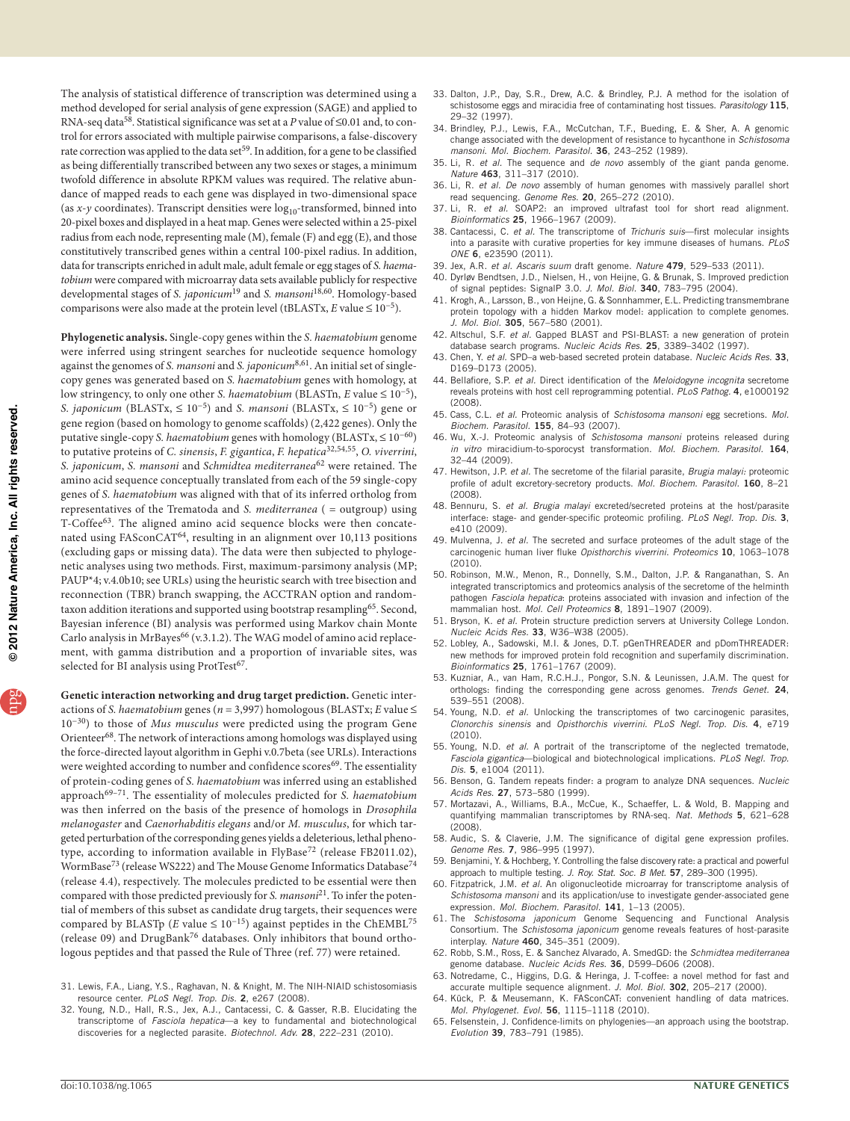The analysis of statistical difference of transcription was determined using a method developed for serial analysis of gene expression (SAGE) and applied to RNA-seq data[58](#page-6-20). Statistical significance was set at a *P* value of ≤0.01 and, to control for errors associated with multiple pairwise comparisons, a false-discovery rate correction was applied to the data set<sup>59</sup>. In addition, for a gene to be classified as being differentially transcribed between any two sexes or stages, a minimum twofold difference in absolute RPKM values was required. The relative abundance of mapped reads to each gene was displayed in two-dimensional space (as  $x$ - $y$  coordinates). Transcript densities were  $log_{10}$ -transformed, binned into 20-pixel boxes and displayed in a heat map. Genes were selected within a 25-pixel radius from each node, representing male (M), female (F) and egg (E), and those constitutively transcribed genes within a central 100-pixel radius. In addition, data for transcripts enriched in adult male, adult female or egg stages of *S. haematobium* were compared with microarray data sets available publicly for respective developmental stages of *S. japonicum*[19](#page-4-18) and *S. mansoni*[18,](#page-4-17)[60](#page-6-22). Homology-based comparisons were also made at the protein level (tBLASTx, *E* value ≤ 10−5).

**Phylogenetic analysis.** Single-copy genes within the *S. haematobium* genome were inferred using stringent searches for nucleotide sequence homology against the genomes of *S. mansoni* and *S. japonicum*[8,](#page-4-7)[61](#page-6-23). An initial set of singlecopy genes was generated based on *S. haematobium* genes with homology, at low stringency, to only one other *S. haematobium* (BLASTn, *E* value ≤ 10−5), *S. japonicum* (BLASTx, ≤ 10−5) and *S. mansoni* (BLASTx, ≤ 10−5) gene or gene region (based on homology to genome scaffolds) (2,422 genes). Only the putative single-copy *S. haematobium* genes with homology (BLASTx, ≤ 10<sup>-60</sup>) to putative proteins of *C. sinensis*, *F. gigantica*, *F. hepatica*[32,](#page-6-1)[54,](#page-6-16)[55,](#page-6-17) *O. viverrini*, *S. japonicum*, *S. mansoni* and *Schmidtea mediterranea*[62](#page-6-24) were retained. The amino acid sequence conceptually translated from each of the 59 single-copy genes of *S. haematobium* was aligned with that of its inferred ortholog from representatives of the Trematoda and *S. mediterranea* ( = outgroup) using T-Coffee[63.](#page-6-25) The aligned amino acid sequence blocks were then concate-nated using FASconCAT<sup>[64](#page-6-26)</sup>, resulting in an alignment over 10,113 positions (excluding gaps or missing data). The data were then subjected to phylogenetic analyses using two methods. First, maximum-parsimony analysis (MP; PAUP\*4; v.4.0b10; see URLs) using the heuristic search with tree bisection and reconnection (TBR) branch swapping, the ACCTRAN option and randomtaxon addition iterations and supported using bootstrap resampling<sup>65</sup>. Second, Bayesian inference (BI) analysis was performed using Markov chain Monte Carlo analysis in MrBayes<sup>[66](#page-7-0)</sup> (v.3.1.2). The WAG model of amino acid replacement, with gamma distribution and a proportion of invariable sites, was selected for BI analysis using ProtTest<sup>[67](#page-7-1)</sup>.

**Genetic interaction networking and drug target prediction.** Genetic interactions of *S. haematobium* genes (*n* = 3,997) homologous (BLASTx; *E* value ≤ 10−30) to those of *Mus musculus* were predicted using the program Gene Orienteer<sup>[68](#page-7-2)</sup>. The network of interactions among homologs was displayed using the force-directed layout algorithm in Gephi v.0.7beta (see URLs). Interactions were weighted according to number and confidence scores<sup>[69](#page-7-3)</sup>. The essentiality of protein-coding genes of *S. haematobium* was inferred using an established approach<sup>[69–](#page-7-3)[71](#page-7-4)</sup>. The essentiality of molecules predicted for *S. haematobium* was then inferred on the basis of the presence of homologs in *Drosophila melanogaster* and *Caenorhabditis elegans* and/or *M. musculus*, for which targeted perturbation of the corresponding genes yields a deleterious, lethal pheno-type, according to information available in FlyBase<sup>[72](#page-7-5)</sup> (release FB2011.02), WormBase<sup>73</sup> (release WS222) and The Mouse Genome Informatics Database<sup>[74](#page-7-7)</sup> (release 4.4), respectively. The molecules predicted to be essential were then compared with those predicted previously for *S. mansoni*[21](#page-4-20). To infer the potential of members of this subset as candidate drug targets, their sequences were compared by BLASTp  $(E$  value  $\leq 10^{-15})$  against peptides in the ChEMBL<sup>75</sup> (release 09) and DrugBank[76](#page-7-9) databases. Only inhibitors that bound orthologous peptides and that passed the Rule of Three (ref. 77) were retained.

- <span id="page-6-0"></span>31. Lewis, F.A., Liang, Y.S., Raghavan, N. & Knight, M. The NIH-NIAID schistosomiasis resource center. *PLoS Negl. Trop. Dis.* 2, e267 (2008).
- <span id="page-6-1"></span>32. Young, N.D., Hall, R.S., Jex, A.J., Cantacessi, C. & Gasser, R.B. Elucidating the transcriptome of *Fasciola hepatica*—a key to fundamental and biotechnological discoveries for a neglected parasite. *Biotechnol. Adv.* 28, 222–231 (2010).
- <span id="page-6-2"></span>33. Dalton, J.P., Day, S.R., Drew, A.C. & Brindley, P.J. A method for the isolation of schistosome eggs and miracidia free of contaminating host tissues. *Parasitology* 115, 29–32 (1997).
- <span id="page-6-3"></span>34. Brindley, P.J., Lewis, F.A., McCutchan, T.F., Bueding, E. & Sher, A. A genomic change associated with the development of resistance to hycanthone in *Schistosoma mansoni*. *Mol. Biochem. Parasitol.* 36, 243–252 (1989).
- <span id="page-6-4"></span>35. Li, R. *et al.* The sequence and *de novo* assembly of the giant panda genome. *Nature* 463, 311–317 (2010).
- <span id="page-6-5"></span>36. Li, R. *et al. De novo* assembly of human genomes with massively parallel short read sequencing. *Genome Res.* 20, 265–272 (2010).
- 37. Li, R. *et al.* SOAP2: an improved ultrafast tool for short read alignment. *Bioinformatics* 25, 1966–1967 (2009).
- <span id="page-6-6"></span>38. Cantacessi, C. *et al.* The transcriptome of *Trichuris suis*—first molecular insights into a parasite with curative properties for key immune diseases of humans. *PLoS ONE* 6, e23590 (2011).
- <span id="page-6-7"></span>39. Jex, A.R. *et al. Ascaris suum* draft genome. *Nature* 479, 529–533 (2011).
- 40. Dyrløv Bendtsen, J.D., Nielsen, H., von Heijne, G. & Brunak, S. Improved prediction of signal peptides: SignalP 3.0. *J. Mol. Biol.* 340, 783–795 (2004).
- <span id="page-6-8"></span>41. Krogh, A., Larsson, B., von Heijne, G. & Sonnhammer, E.L. Predicting transmembrane protein topology with a hidden Markov model: application to complete genomes. *J. Mol. Biol.* 305, 567–580 (2001).
- <span id="page-6-9"></span>42. Altschul, S.F. *et al.* Gapped BLAST and PSI-BLAST: a new generation of protein database search programs. *Nucleic Acids Res.* 25, 3389–3402 (1997).
- <span id="page-6-10"></span>43. Chen, Y. *et al.* SPD–a web-based secreted protein database. *Nucleic Acids Res.* 33, D169–D173 (2005).
- <span id="page-6-11"></span>44. Bellafiore, S.P. *et al.* Direct identification of the *Meloidogyne incognita* secretome reveals proteins with host cell reprogramming potential. *PLoS Pathog.* 4, e1000192 (2008).
- 45. Cass, C.L. *et al.* Proteomic analysis of *Schistosoma mansoni* egg secretions. *Mol. Biochem. Parasitol.* 155, 84–93 (2007).
- 46. Wu, X.-J. Proteomic analysis of *Schistosoma mansoni* proteins released during *in vitro* miracidium-to-sporocyst transformation. *Mol. Biochem. Parasitol.* 164, 32–44 (2009).
- 47. Hewitson, J.P. *et al.* The secretome of the filarial parasite, *Brugia malayi:* proteomic profile of adult excretory-secretory products. *Mol. Biochem. Parasitol.* 160, 8–21  $(2008)$
- 48. Bennuru, S. *et al. Brugia malayi* excreted/secreted proteins at the host/parasite interface: stage- and gender-specific proteomic profiling. *PLoS Negl. Trop. Dis.* 3, e410 (2009).
- 49. Mulvenna, J. *et al.* The secreted and surface proteomes of the adult stage of the carcinogenic human liver fluke *Opisthorchis viverrini*. *Proteomics* 10, 1063–1078 (2010).
- <span id="page-6-12"></span>50. Robinson, M.W., Menon, R., Donnelly, S.M., Dalton, J.P. & Ranganathan, S. An integrated transcriptomics and proteomics analysis of the secretome of the helminth pathogen *Fasciola hepatica*: proteins associated with invasion and infection of the mammalian host. *Mol. Cell Proteomics* 8, 1891–1907 (2009).
- <span id="page-6-13"></span>51. Bryson, K. *et al.* Protein structure prediction servers at University College London. *Nucleic Acids Res.* 33, W36–W38 (2005).
- <span id="page-6-14"></span>52. Lobley, A., Sadowski, M.I. & Jones, D.T. pGenTHREADER and pDomTHREADER: new methods for improved protein fold recognition and superfamily discrimination. *Bioinformatics* 25, 1761–1767 (2009).
- <span id="page-6-15"></span>53. Kuzniar, A., van Ham, R.C.H.J., Pongor, S.N. & Leunissen, J.A.M. The quest for orthologs: finding the corresponding gene across genomes. *Trends Genet.* 24, 539–551 (2008).
- <span id="page-6-16"></span>54. Young, N.D. *et al.* Unlocking the transcriptomes of two carcinogenic parasites, *Clonorchis sinensis* and *Opisthorchis viverrini*. *PLoS Negl. Trop. Dis.* 4, e719 (2010).
- <span id="page-6-17"></span>55. Young, N.D. *et al.* A portrait of the transcriptome of the neglected trematode, *Fasciola gigantica*—biological and biotechnological implications. *PLoS Negl. Trop. Dis.* 5, e1004 (2011).
- <span id="page-6-18"></span>56. Benson, G. Tandem repeats finder: a program to analyze DNA sequences. *Nucleic Acids Res.* 27, 573–580 (1999).
- <span id="page-6-19"></span>57. Mortazavi, A., Williams, B.A., McCue, K., Schaeffer, L. & Wold, B. Mapping and quantifying mammalian transcriptomes by RNA-seq. *Nat. Methods* 5, 621–628 (2008).
- <span id="page-6-20"></span>58. Audic, S. & Claverie, J.M. The significance of digital gene expression profiles. *Genome Res.* 7, 986–995 (1997).
- <span id="page-6-21"></span>59. Benjamini, Y. & Hochberg, Y. Controlling the false discovery rate: a practical and powerful approach to multiple testing. *J. Roy. Stat. Soc. B Met.* 57, 289–300 (1995).
- <span id="page-6-22"></span>60. Fitzpatrick, J.M. *et al.* An oligonucleotide microarray for transcriptome analysis of *Schistosoma mansoni* and its application/use to investigate gender-associated gene expression. *Mol. Biochem. Parasitol.* 141, 1–13 (2005).
- <span id="page-6-23"></span>61. The *Schistosoma japonicum* Genome Sequencing and Functional Analysis Consortium. The *Schistosoma japonicum* genome reveals features of host-parasite interplay. *Nature* 460, 345–351 (2009).
- <span id="page-6-24"></span>62. Robb, S.M., Ross, E. & Sanchez Alvarado, A. SmedGD: the *Schmidtea mediterranea* genome database. *Nucleic Acids Res.* 36, D599–D606 (2008).
- <span id="page-6-25"></span>63. Notredame, C., Higgins, D.G. & Heringa, J. T-coffee: a novel method for fast and accurate multiple sequence alignment. *J. Mol. Biol.* 302, 205–217 (2000).
- <span id="page-6-26"></span>64. Kück, P. & Meusemann, K. FASconCAT: convenient handling of data matrices. *Mol. Phylogenet. Evol.* 56, 1115–1118 (2010).
- <span id="page-6-27"></span>65. Felsenstein, J. Confidence-limits on phylogenies—an approach using the bootstrap. *Evolution* 39, 783–791 (1985).